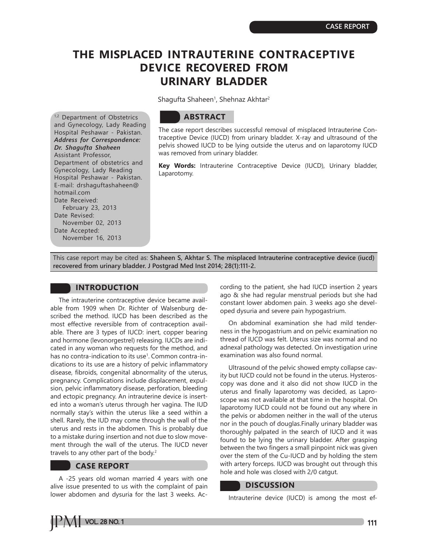# **THE MISPLACED INTRAUTERINE CONTRACEPTIVE DEVICE RECOVERED FROM URINARY BLADDER**

Shagufta Shaheen<sup>1</sup>, Shehnaz Akhtar<sup>2</sup>

1,2 Department of Obstetrics and Gynecology, Lady Reading Hospital Peshawar - Pakistan. *Address for Correspondence: Dr. Shagufta Shaheen* Assistant Professor, Department of obstetrics and Gynecology, Lady Reading Hospital Peshawar - Pakistan. E-mail: drshaguftashaheen@ hotmail.com Date Received: February 23, 2013 Date Revised: November 02, 2013 Date Accepted: November 16, 2013

## **ABSTRACT**

The case report describes successful removal of misplaced Intrauterine Contraceptive Device (IUCD) from urinary bladder. X-ray and ultrasound of the pelvis showed IUCD to be lying outside the uterus and on laparotomy IUCD was removed from urinary bladder.

**Key Words:** Intrauterine Contraceptive Device (IUCD), Urinary bladder, Laparotomy.

This case report may be cited as: **Shaheen S, Akhtar S. The misplaced Intrauterine contraceptive device (iucd) recovered from urinary bladder. J Postgrad Med Inst 2014; 28(1):111-2.**

### **INTRODUCTION**

The intrauterine contraceptive device became available from 1909 when Dr. Richter of Walsenburg described the method. IUCD has been described as the most effective reversible from of contraception available. There are 3 types of IUCD: inert, copper bearing and hormone (levonorgestrel) releasing. IUCDs are indicated in any woman who requests for the method, and has no contra-indication to its use<sup>1</sup>. Common contra-indications to its use are a history of pelvic inflammatory disease, fibroids, congenital abnormality of the uterus, pregnancy. Complications include displacement, expulsion, pelvic inflammatory disease, perforation, bleeding and ectopic pregnancy. An intrauterine device is inserted into a woman's uterus through her vagina. The IUD normally stay's within the uterus like a seed within a shell. Rarely, the IUD may come through the wall of the uterus and rests in the abdomen. This is probably due to a mistake during insertion and not due to slow movement through the wall of the uterus. The IUCD never travels to any other part of the body.<sup>2</sup>

#### **CASE REPORT**

A -25 years old woman married 4 years with one alive issue presented to us with the complaint of pain lower abdomen and dysuria for the last 3 weeks. According to the patient, she had IUCD insertion 2 years ago & she had regular menstrual periods but she had constant lower abdomen pain. 3 weeks ago she developed dysuria and severe pain hypogastrium.

On abdominal examination she had mild tenderness in the hypogastrium and on pelvic examination no thread of IUCD was felt. Uterus size was normal and no adnexal pathology was detected. On investigation urine examination was also found normal.

Ultrasound of the pelvic showed empty collapse cavity but IUCD could not be found in the uterus. Hysteroscopy was done and it also did not show IUCD in the uterus and finally laparotomy was decided, as Laproscope was not available at that time in the hospital. On laparotomy IUCD could not be found out any where in the pelvis or abdomen neither in the wall of the uterus nor in the pouch of douglas.Finally urinary bladder was thoroughly palpated in the search of IUCD and it was found to be lying the urinary bladder. After grasping between the two fingers a small pinpoint nick was given over the stem of the Cu-IUCD and by holding the stem with artery forceps. IUCD was brought out through this hole and hole was closed with 2/0 catgut.

#### **DISCUSSION**

Intrauterine device (IUCD) is among the most ef-